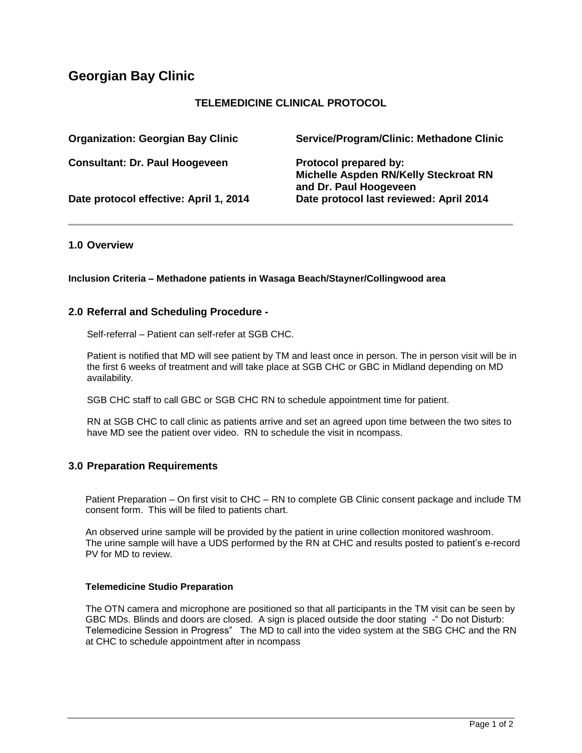# **Georgian Bay Clinic**

# **TELEMEDICINE CLINICAL PROTOCOL**

| <b>Organization: Georgian Bay Clinic</b> | Service/Program/Clinic: Methadone Clinic                                                 |
|------------------------------------------|------------------------------------------------------------------------------------------|
| <b>Consultant: Dr. Paul Hoogeveen</b>    | Protocol prepared by:<br>Michelle Aspden RN/Kelly Steckroat RN<br>and Dr. Paul Hoogeveen |
| Date protocol effective: April 1, 2014   | Date protocol last reviewed: April 2014                                                  |

## **1.0 Overview**

**Inclusion Criteria – Methadone patients in Wasaga Beach/Stayner/Collingwood area**

#### **2.0 Referral and Scheduling Procedure -**

Self-referral – Patient can self-refer at SGB CHC.

Patient is notified that MD will see patient by TM and least once in person. The in person visit will be in the first 6 weeks of treatment and will take place at SGB CHC or GBC in Midland depending on MD availability.

SGB CHC staff to call GBC or SGB CHC RN to schedule appointment time for patient.

RN at SGB CHC to call clinic as patients arrive and set an agreed upon time between the two sites to have MD see the patient over video. RN to schedule the visit in ncompass.

## **3.0 Preparation Requirements**

Patient Preparation – On first visit to CHC – RN to complete GB Clinic consent package and include TM consent form. This will be filed to patients chart.

An observed urine sample will be provided by the patient in urine collection monitored washroom. The urine sample will have a UDS performed by the RN at CHC and results posted to patient's e-record PV for MD to review.

#### **Telemedicine Studio Preparation**

The OTN camera and microphone are positioned so that all participants in the TM visit can be seen by GBC MDs. Blinds and doors are closed. A sign is placed outside the door stating -" Do not Disturb: Telemedicine Session in Progress" The MD to call into the video system at the SBG CHC and the RN at CHC to schedule appointment after in ncompass